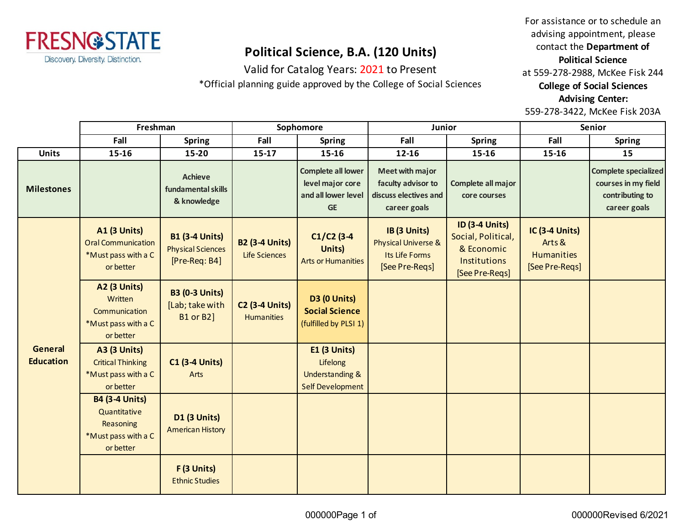

## **Political Science, B.A. (120 Units)**

Valid for Catalog Years: 2021 to Present

\*Official planning guide approved by the College of Social Sciences

For assistance or to schedule an advising appointment, please contact the **Department of Political Science** at 559-278-2988, McKee Fisk 244 **College of Social Sciences Advising Center:**  559-278-3422, McKee Fisk 203A

|                                    | Freshman                                                                               |                                                                    | Sophomore                                     |                                                                                     | Junior                                                                                |                                                                                                    | Senior                                                                 |                                                                                       |
|------------------------------------|----------------------------------------------------------------------------------------|--------------------------------------------------------------------|-----------------------------------------------|-------------------------------------------------------------------------------------|---------------------------------------------------------------------------------------|----------------------------------------------------------------------------------------------------|------------------------------------------------------------------------|---------------------------------------------------------------------------------------|
|                                    | Fall                                                                                   | <b>Spring</b>                                                      | Fall                                          | <b>Spring</b>                                                                       | Fall                                                                                  | <b>Spring</b>                                                                                      | Fall                                                                   | <b>Spring</b>                                                                         |
| <b>Units</b>                       | 15-16                                                                                  | 15-20                                                              | $15-17$                                       | 15-16                                                                               | 12-16                                                                                 | 15-16                                                                                              | 15-16                                                                  | 15                                                                                    |
| <b>Milestones</b>                  |                                                                                        | <b>Achieve</b><br>fundamental skills<br>& knowledge                |                                               | <b>Complete all lower</b><br>level major core<br>and all lower level<br><b>GE</b>   | <b>Meet with major</b><br>faculty advisor to<br>discuss electives and<br>career goals | Complete all major<br>core courses                                                                 |                                                                        | <b>Complete specialized</b><br>courses in my field<br>contributing to<br>career goals |
| <b>General</b><br><b>Education</b> | <b>A1 (3 Units)</b><br><b>Oral Communication</b><br>*Must pass with a C<br>or better   | <b>B1 (3-4 Units)</b><br><b>Physical Sciences</b><br>[Pre-Req: B4] | <b>B2 (3-4 Units)</b><br><b>Life Sciences</b> | $C1/C2$ (3-4<br>Units)<br><b>Arts or Humanities</b>                                 | IB (3 Units)<br>Physical Universe &<br>Its Life Forms<br>[See Pre-Regs]               | <b>ID (3-4 Units)</b><br>Social, Political,<br>& Economic<br><b>Institutions</b><br>[See Pre-Reqs] | <b>IC (3-4 Units)</b><br>Arts &<br><b>Humanities</b><br>[See Pre-Reqs] |                                                                                       |
|                                    | <b>A2 (3 Units)</b><br>Written<br>Communication<br>*Must pass with a C<br>or better    | <b>B3 (0-3 Units)</b><br>[Lab; take with<br><b>B1 or B2]</b>       | <b>C2 (3-4 Units)</b><br><b>Humanities</b>    | D3 (0 Units)<br><b>Social Science</b><br>(fulfilled by PLSI 1)                      |                                                                                       |                                                                                                    |                                                                        |                                                                                       |
|                                    | <b>A3 (3 Units)</b><br><b>Critical Thinking</b><br>*Must pass with a C<br>or better    | <b>C1 (3-4 Units)</b><br>Arts                                      |                                               | $E1$ (3 Units)<br>Lifelong<br><b>Understanding &amp;</b><br><b>Self Development</b> |                                                                                       |                                                                                                    |                                                                        |                                                                                       |
|                                    | <b>B4 (3-4 Units)</b><br>Quantitative<br>Reasoning<br>*Must pass with a C<br>or better | <b>D1 (3 Units)</b><br><b>American History</b>                     |                                               |                                                                                     |                                                                                       |                                                                                                    |                                                                        |                                                                                       |
|                                    |                                                                                        | F (3 Units)<br><b>Ethnic Studies</b>                               |                                               |                                                                                     |                                                                                       |                                                                                                    |                                                                        |                                                                                       |